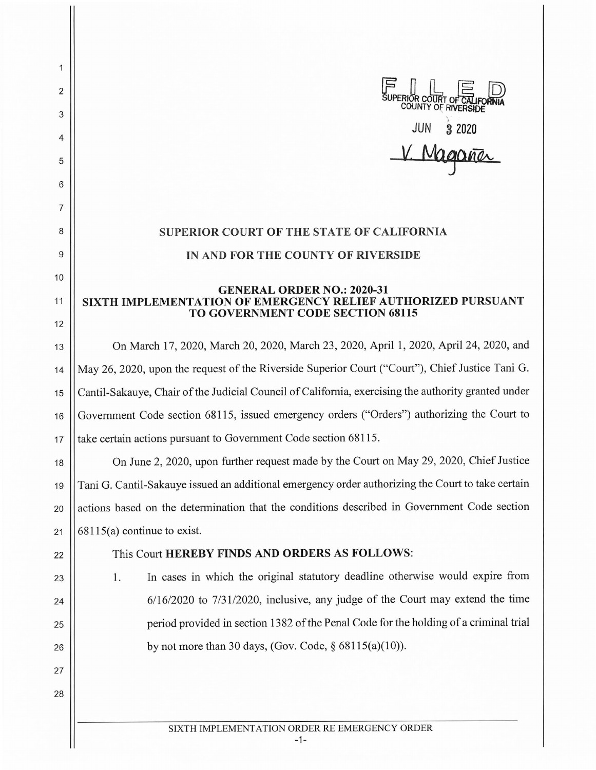

## **SUPERIOR COURT OF THE STATE OF CALIFORNIA IN AND FOR THE COUNTY OF RIVERSIDE**

## **GENERAL ORDER NO.: 2020-31 SIXTH IMPLEMENTATION OF EMERGENCY RELIEF AUTHORIZED PURSUANT TO GOVERNMENT CODE SECTION 68115**

13 On March 17, 2020, March 20, 2020, March 23, 2020, April 1, 2020, April 24, 2020, and 14 May 26, 2020, upon the request of the Riverside Superior Court ("Court"), Chief Justice Tani G. 15 Cantil-Sakauye, Chair of the Judicial Council of California, exercising the authority granted under 16 Government Code section 68115, issued emergency orders ("Orders") authorizing the Court to 17 **take certain actions pursuant to Government Code section 68115.** 

18 On June 2, 2020, upon further request made by the Court on May 29, 2020, Chief Justice 19 Tani G. Cantil-Sakauye issued an additional emergency order authorizing the Court to take certain 20 actions based on the determination that the conditions described in Government Code section 21  $\vert$  68115(a) continue to exist.

23

24

25

26

27

28

2

1

3

4

5

6

7

8

9

10

11

12

## 22 This Court **HEREBY FINDS AND ORDERS AS FOLLOWS:**

1. In cases in which the original statutory deadline otherwise would expire from 6/16/2020 to 7/31/2020, inclusive, any judge of the Court may extend the time period provided in section 13 82 of the Penal Code for the holding of a criminal trial by not more than 30 days, (Gov. Code,  $\S 68115(a)(10)$ ).